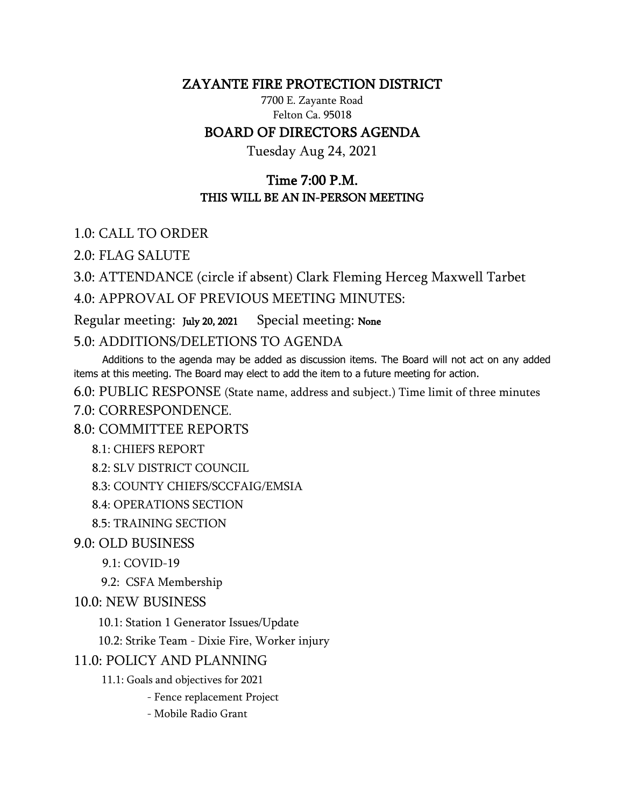### ZAYANTE FIRE PROTECTION DISTRICT

7700 E. Zayante Road Felton Ca. 95018

## BOARD OF DIRECTORS AGENDA

Tuesday Aug 24, 2021

# Time 7:00 P.M. THIS WILL BE AN IN-PERSON MEETING

1.0: CALL TO ORDER

2.0: FLAG SALUTE

3.0: ATTENDANCE (circle if absent) Clark Fleming Herceg Maxwell Tarbet 4.0: APPROVAL OF PREVIOUS MEETING MINUTES:

Regular meeting: July 20, 2021 Special meeting: None

5.0: ADDITIONS/DELETIONS TO AGENDA

 Additions to the agenda may be added as discussion items. The Board will not act on any added items at this meeting. The Board may elect to add the item to a future meeting for action.

6.0: PUBLIC RESPONSE (State name, address and subject.) Time limit of three minutes

7.0: CORRESPONDENCE.

#### 8.0: COMMITTEE REPORTS

8.1: CHIEFS REPORT

```
 8.2: SLV DISTRICT COUNCIL
```
8.3: COUNTY CHIEFS/SCCFAIG/EMSIA

8.4: OPERATIONS SECTION

8.5: TRAINING SECTION

9.0: OLD BUSINESS

9.1: COVID-19

9.2: CSFA Membership

### 10.0: NEW BUSINESS

10.1: Station 1 Generator Issues/Update

10.2: Strike Team - Dixie Fire, Worker injury

#### 11.0: POLICY AND PLANNING

11.1: Goals and objectives for 2021

- Fence replacement Project

- Mobile Radio Grant